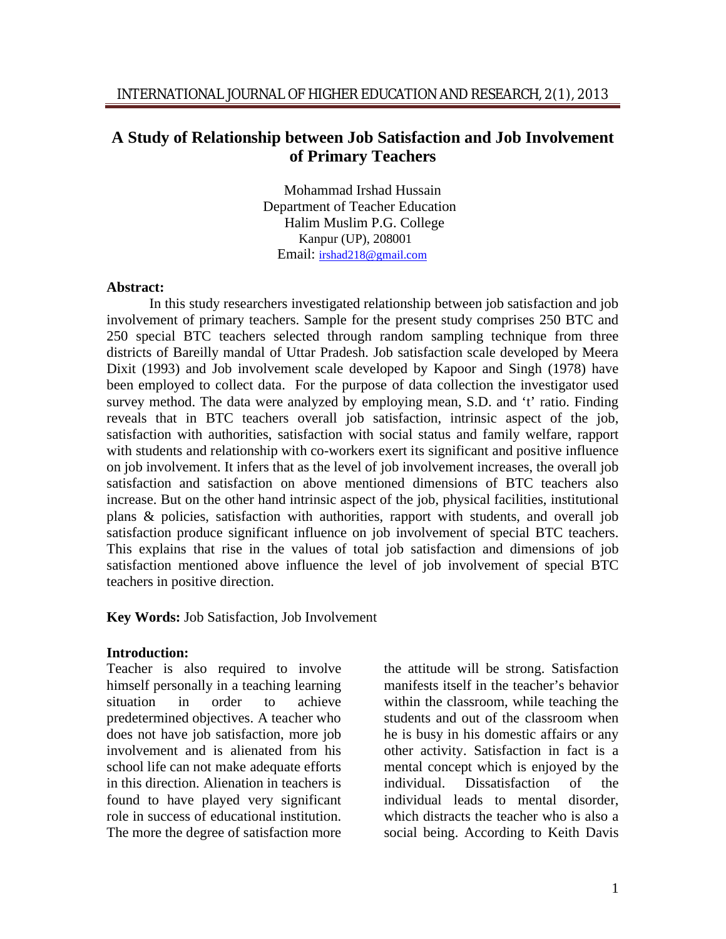# **A Study of Relationship between Job Satisfaction and Job Involvement of Primary Teachers**

Mohammad Irshad Hussain Department of Teacher Education Halim Muslim P.G. College Kanpur (UP), 208001 Email: irshad218@gmail.com

#### **Abstract:**

In this study researchers investigated relationship between job satisfaction and job involvement of primary teachers. Sample for the present study comprises 250 BTC and 250 special BTC teachers selected through random sampling technique from three districts of Bareilly mandal of Uttar Pradesh. Job satisfaction scale developed by Meera Dixit (1993) and Job involvement scale developed by Kapoor and Singh (1978) have been employed to collect data. For the purpose of data collection the investigator used survey method. The data were analyzed by employing mean, S.D. and 't' ratio. Finding reveals that in BTC teachers overall job satisfaction, intrinsic aspect of the job, satisfaction with authorities, satisfaction with social status and family welfare, rapport with students and relationship with co-workers exert its significant and positive influence on job involvement. It infers that as the level of job involvement increases, the overall job satisfaction and satisfaction on above mentioned dimensions of BTC teachers also increase. But on the other hand intrinsic aspect of the job, physical facilities, institutional plans & policies, satisfaction with authorities, rapport with students, and overall job satisfaction produce significant influence on job involvement of special BTC teachers. This explains that rise in the values of total job satisfaction and dimensions of job satisfaction mentioned above influence the level of job involvement of special BTC teachers in positive direction.

**Key Words:** Job Satisfaction, Job Involvement

### **Introduction:**

Teacher is also required to involve himself personally in a teaching learning situation in order to achieve predetermined objectives. A teacher who does not have job satisfaction, more job involvement and is alienated from his school life can not make adequate efforts in this direction. Alienation in teachers is found to have played very significant role in success of educational institution. The more the degree of satisfaction more

the attitude will be strong. Satisfaction manifests itself in the teacher's behavior within the classroom, while teaching the students and out of the classroom when he is busy in his domestic affairs or any other activity. Satisfaction in fact is a mental concept which is enjoyed by the individual. Dissatisfaction of the individual leads to mental disorder, which distracts the teacher who is also a social being. According to Keith Davis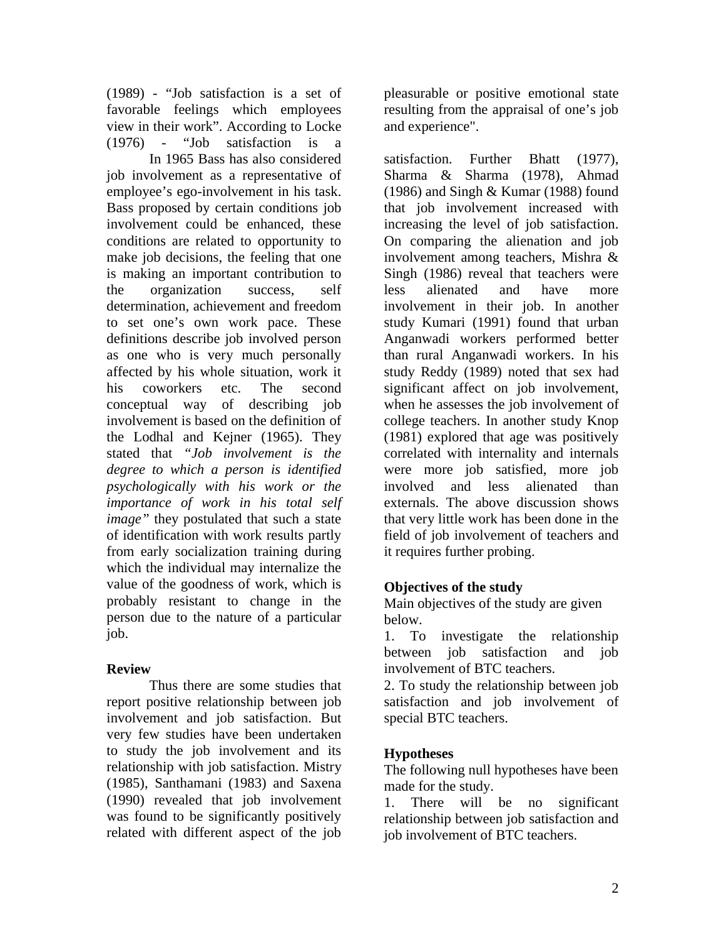(1989) - "Job satisfaction is a set of favorable feelings which employees view in their work". According to Locke (1976) - "Job satisfaction is a

In 1965 Bass has also considered job involvement as a representative of employee's ego-involvement in his task. Bass proposed by certain conditions job involvement could be enhanced, these conditions are related to opportunity to make job decisions, the feeling that one is making an important contribution to the organization success, self determination, achievement and freedom to set one's own work pace. These definitions describe job involved person as one who is very much personally affected by his whole situation, work it his coworkers etc. The second conceptual way of describing job involvement is based on the definition of the Lodhal and Kejner (1965). They stated that *"Job involvement is the degree to which a person is identified psychologically with his work or the importance of work in his total self image*" they postulated that such a state of identification with work results partly from early socialization training during which the individual may internalize the value of the goodness of work, which is probably resistant to change in the person due to the nature of a particular job.

## **Review**

Thus there are some studies that report positive relationship between job involvement and job satisfaction. But very few studies have been undertaken to study the job involvement and its relationship with job satisfaction. Mistry (1985), Santhamani (1983) and Saxena (1990) revealed that job involvement was found to be significantly positively related with different aspect of the job

pleasurable or positive emotional state resulting from the appraisal of one's job and experience".

satisfaction. Further Bhatt (1977), Sharma & Sharma (1978), Ahmad (1986) and Singh  $& Kumar (1988) found$ that job involvement increased with increasing the level of job satisfaction. On comparing the alienation and job involvement among teachers, Mishra & Singh (1986) reveal that teachers were less alienated and have more involvement in their job. In another study Kumari (1991) found that urban Anganwadi workers performed better than rural Anganwadi workers. In his study Reddy (1989) noted that sex had significant affect on job involvement, when he assesses the job involvement of college teachers. In another study Knop (1981) explored that age was positively correlated with internality and internals were more job satisfied, more job involved and less alienated than externals. The above discussion shows that very little work has been done in the field of job involvement of teachers and it requires further probing.

## **Objectives of the study**

Main objectives of the study are given below.

1. To investigate the relationship between job satisfaction and job involvement of BTC teachers.

2. To study the relationship between job satisfaction and job involvement of special BTC teachers.

# **Hypotheses**

The following null hypotheses have been made for the study.

1. There will be no significant relationship between job satisfaction and job involvement of BTC teachers.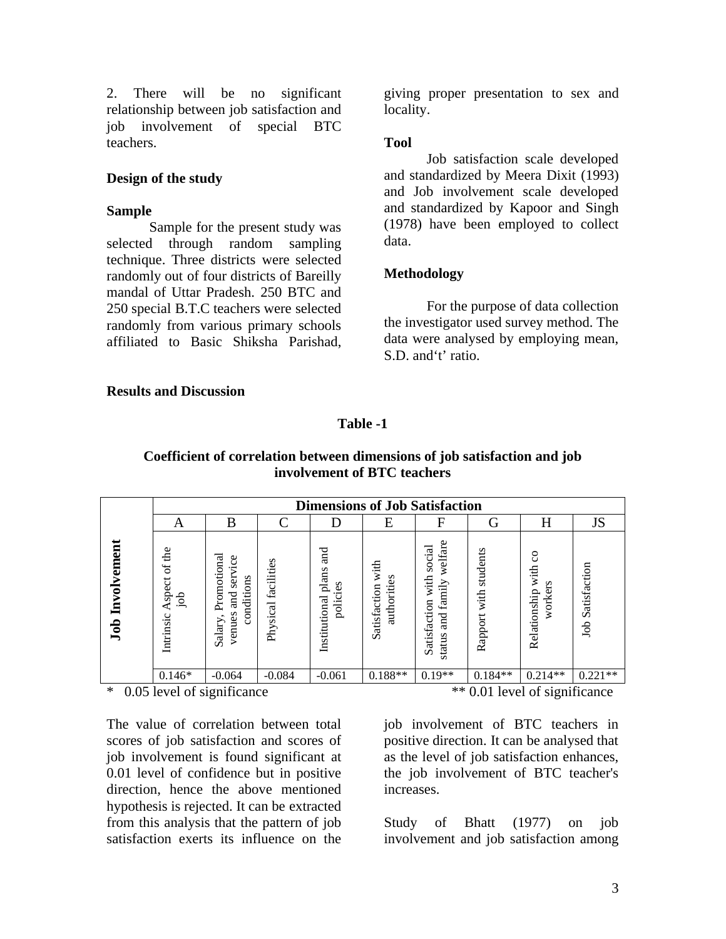2. There will be no significant relationship between job satisfaction and job involvement of special BTC teachers.

### **Design of the study**

#### **Sample**

Sample for the present study was selected through random sampling technique. Three districts were selected randomly out of four districts of Bareilly mandal of Uttar Pradesh. 250 BTC and 250 special B.T.C teachers were selected randomly from various primary schools affiliated to Basic Shiksha Parishad,

giving proper presentation to sex and locality.

### **Tool**

Job satisfaction scale developed and standardized by Meera Dixit (1993) and Job involvement scale developed and standardized by Kapoor and Singh (1978) have been employed to collect data.

## **Methodology**

For the purpose of data collection the investigator used survey method. The data were analysed by employing mean, S.D. and't' ratio.

### **Results and Discussion**

## **Table -1**

## **Coefficient of correlation between dimensions of job satisfaction and job involvement of BTC teachers**

|                              | <b>Dimensions of Job Satisfaction</b> |                                                                 |                        |                                           |                                     |                                                                                               |                             |                                                         |                    |  |
|------------------------------|---------------------------------------|-----------------------------------------------------------------|------------------------|-------------------------------------------|-------------------------------------|-----------------------------------------------------------------------------------------------|-----------------------------|---------------------------------------------------------|--------------------|--|
|                              | А                                     | B                                                               | $\curvearrowright$     | D                                         | E                                   | F                                                                                             | G                           | H                                                       | JS                 |  |
| Involvement<br>$_{\rm{Job}}$ | the<br>ď<br>Aspect<br>de<br>Intrinsic | Promotional<br>service<br>conditions<br>and<br>venues<br>Salary | facilities<br>Physical | and<br>plans<br>policies<br>Institutional | with<br>authorities<br>Satisfaction | welfare<br>social<br>with<br>➢<br>famil <sup>-</sup><br>Satisfaction<br><b>Fure</b><br>status | students<br>with<br>Rapport | $\mathcal{S}^{\circ}$<br>with<br>Relationship<br>worker | Satisfaction<br>do |  |
|                              | $0.146*$                              | $-0.064$                                                        | $-0.084$               | $-0.061$                                  | $0.188**$                           | $0.19**$                                                                                      | $0.184**$                   | $0.214**$                                               | $0.221**$          |  |

The value of correlation between total scores of job satisfaction and scores of job involvement is found significant at 0.01 level of confidence but in positive direction, hence the above mentioned hypothesis is rejected. It can be extracted from this analysis that the pattern of job satisfaction exerts its influence on the

\* 0.05 level of significance \*\* 0.01 level of significance

job involvement of BTC teachers in positive direction. It can be analysed that as the level of job satisfaction enhances, the job involvement of BTC teacher's increases.

Study of Bhatt (1977) on job involvement and job satisfaction among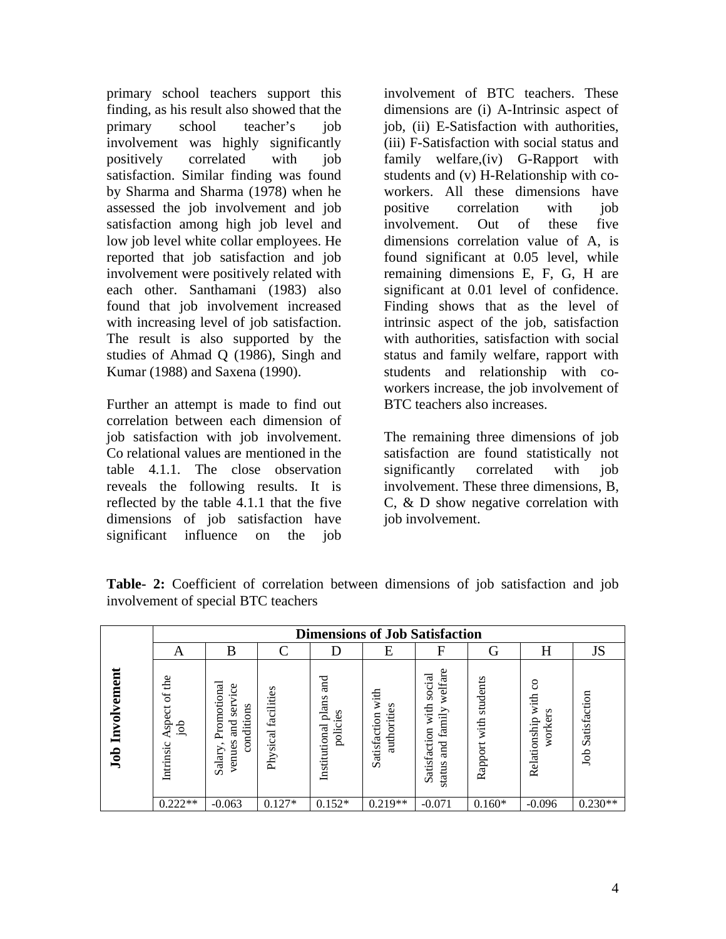primary school teachers support this finding, as his result also showed that the primary school teacher's job involvement was highly significantly positively correlated with job satisfaction. Similar finding was found by Sharma and Sharma (1978) when he assessed the job involvement and job satisfaction among high job level and low job level white collar employees. He reported that job satisfaction and job involvement were positively related with each other. Santhamani (1983) also found that job involvement increased with increasing level of job satisfaction. The result is also supported by the studies of Ahmad Q (1986), Singh and Kumar (1988) and Saxena (1990).

Further an attempt is made to find out correlation between each dimension of job satisfaction with job involvement. Co relational values are mentioned in the table 4.1.1. The close observation reveals the following results. It is reflected by the table 4.1.1 that the five dimensions of job satisfaction have significant influence on the job

involvement of BTC teachers. These dimensions are (i) A-Intrinsic aspect of job, (ii) E-Satisfaction with authorities, (iii) F-Satisfaction with social status and family welfare,(iv) G-Rapport with students and (v) H-Relationship with coworkers. All these dimensions have positive correlation with job involvement. Out of these five dimensions correlation value of A, is found significant at 0.05 level, while remaining dimensions E, F, G, H are significant at 0.01 level of confidence. Finding shows that as the level of intrinsic aspect of the job, satisfaction with authorities, satisfaction with social status and family welfare, rapport with students and relationship with coworkers increase, the job involvement of BTC teachers also increases.

The remaining three dimensions of job satisfaction are found statistically not significantly correlated with job involvement. These three dimensions, B, C, & D show negative correlation with job involvement.

|                    | <b>Dimensions of Job Satisfaction</b> |                                                                                   |                     |                                                          |                                     |                                                                              |                             |                                     |                     |  |
|--------------------|---------------------------------------|-----------------------------------------------------------------------------------|---------------------|----------------------------------------------------------|-------------------------------------|------------------------------------------------------------------------------|-----------------------------|-------------------------------------|---------------------|--|
|                    | А                                     | B                                                                                 | $\curvearrowright$  |                                                          | E                                   | F                                                                            | G                           | H                                   | JS                  |  |
| Involvement<br>Job | the<br>ð<br>spect<br>ंड<br>Intrinsic  | Promotional<br>vice<br>ser<br>conditions<br>and<br>venues<br>$\bullet$<br>Salary, | Physical facilities | nd<br>and<br>plans<br>s<br>ف.<br>polici<br>Institutional | with<br>authorities<br>Satisfaction | welfare<br>social<br>with<br>family<br>Satisfaction<br><b>Furg</b><br>status | students<br>with<br>Rapport | S<br>with<br>Relationship<br>worker | Satisfaction<br>Job |  |
|                    | $0.222**$                             | $-0.063$                                                                          | $0.127*$            | $0.152*$                                                 | $0.219**$                           | $-0.071$                                                                     | $0.160*$                    | $-0.096$                            | $0.230**$           |  |

**Table- 2:** Coefficient of correlation between dimensions of job satisfaction and job involvement of special BTC teachers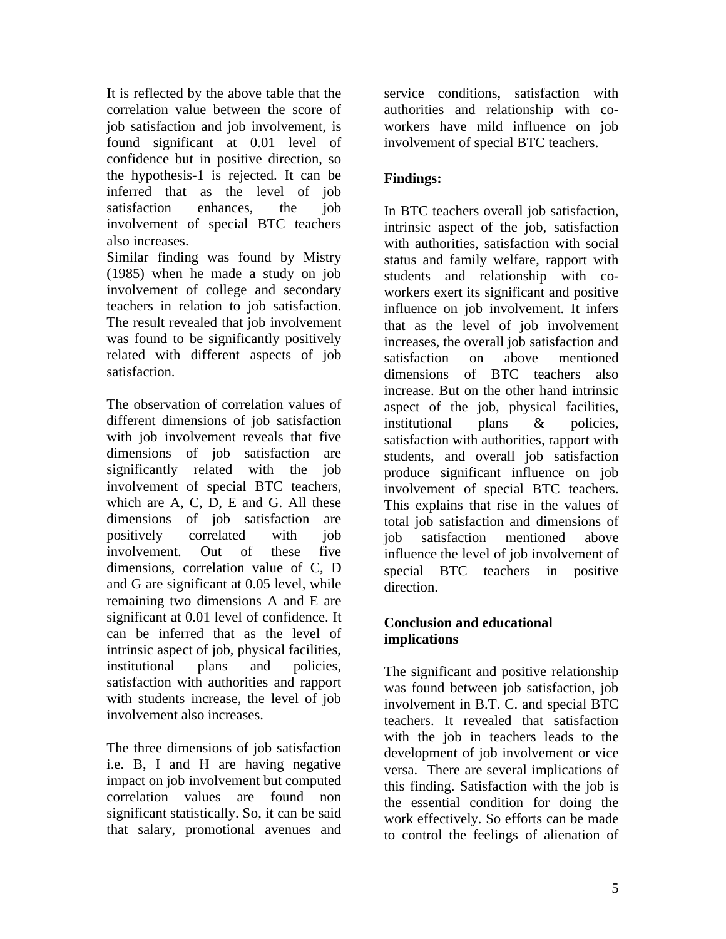It is reflected by the above table that the correlation value between the score of job satisfaction and job involvement, is found significant at 0.01 level of confidence but in positive direction, so the hypothesis-1 is rejected. It can be inferred that as the level of job satisfaction enhances, the job involvement of special BTC teachers also increases.

Similar finding was found by Mistry (1985) when he made a study on job involvement of college and secondary teachers in relation to job satisfaction. The result revealed that job involvement was found to be significantly positively related with different aspects of job satisfaction.

The observation of correlation values of different dimensions of job satisfaction with job involvement reveals that five dimensions of job satisfaction are significantly related with the job involvement of special BTC teachers, which are A, C, D, E and G. All these dimensions of job satisfaction are positively correlated with job involvement. Out of these five dimensions, correlation value of C, D and G are significant at 0.05 level, while remaining two dimensions A and E are significant at 0.01 level of confidence. It can be inferred that as the level of intrinsic aspect of job, physical facilities, institutional plans and policies, satisfaction with authorities and rapport with students increase, the level of job involvement also increases.

The three dimensions of job satisfaction i.e. B, I and H are having negative impact on job involvement but computed correlation values are found non significant statistically. So, it can be said that salary, promotional avenues and

service conditions, satisfaction with authorities and relationship with coworkers have mild influence on job involvement of special BTC teachers.

# **Findings:**

In BTC teachers overall job satisfaction, intrinsic aspect of the job, satisfaction with authorities, satisfaction with social status and family welfare, rapport with students and relationship with coworkers exert its significant and positive influence on job involvement. It infers that as the level of job involvement increases, the overall job satisfaction and satisfaction on above mentioned dimensions of BTC teachers also increase. But on the other hand intrinsic aspect of the job, physical facilities, institutional plans & policies, satisfaction with authorities, rapport with students, and overall job satisfaction produce significant influence on job involvement of special BTC teachers. This explains that rise in the values of total job satisfaction and dimensions of job satisfaction mentioned above influence the level of job involvement of special BTC teachers in positive direction.

## **Conclusion and educational implications**

The significant and positive relationship was found between job satisfaction, job involvement in B.T. C. and special BTC teachers. It revealed that satisfaction with the job in teachers leads to the development of job involvement or vice versa. There are several implications of this finding. Satisfaction with the job is the essential condition for doing the work effectively. So efforts can be made to control the feelings of alienation of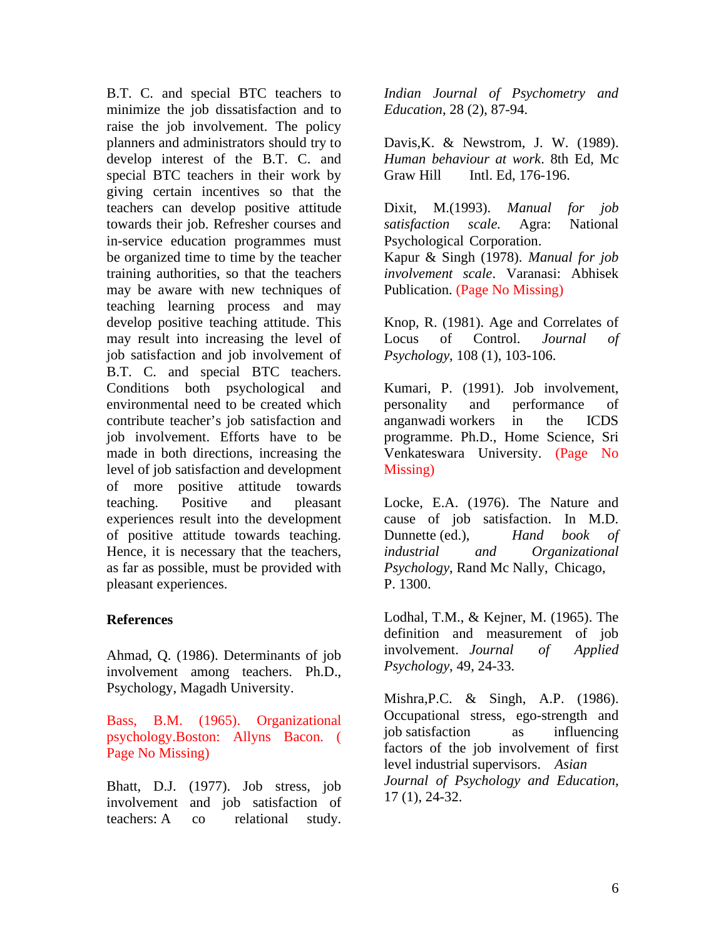B.T. C. and special BTC teachers to minimize the job dissatisfaction and to raise the job involvement. The policy planners and administrators should try to develop interest of the B.T. C. and special BTC teachers in their work by giving certain incentives so that the teachers can develop positive attitude towards their job. Refresher courses and in-service education programmes must be organized time to time by the teacher training authorities, so that the teachers may be aware with new techniques of teaching learning process and may develop positive teaching attitude. This may result into increasing the level of job satisfaction and job involvement of B.T. C. and special BTC teachers. Conditions both psychological and environmental need to be created which contribute teacher's job satisfaction and job involvement. Efforts have to be made in both directions, increasing the level of job satisfaction and development of more positive attitude towards teaching. Positive and pleasant experiences result into the development of positive attitude towards teaching. Hence, it is necessary that the teachers, as far as possible, must be provided with pleasant experiences.

## **References**

Ahmad, Q. (1986). Determinants of job involvement among teachers. Ph.D., Psychology, Magadh University.

Bass, B.M. (1965). Organizational psychology.Boston: Allyns Bacon. ( Page No Missing)

Bhatt, D.J. (1977). Job stress, job involvement and job satisfaction of teachers: A co relational study.

*Indian Journal of Psychometry and Education*, 28 (2), 87-94.

Davis,K. & Newstrom, J. W. (1989). *Human behaviour at work*. 8th Ed, Mc Graw Hill Intl. Ed, 176-196.

Dixit, M.(1993). *Manual for job satisfaction scale.* Agra: National Psychological Corporation. Kapur & Singh (1978). *Manual for job involvement scale*. Varanasi: Abhisek Publication. (Page No Missing)

Knop, R. (1981). Age and Correlates of Locus of Control. *Journal of Psychology*, 108 (1), 103-106.

Kumari, P. (1991). Job involvement, personality and performance of anganwadi workers in the ICDS programme. Ph.D., Home Science, Sri Venkateswara University. (Page No Missing)

Locke, E.A. (1976). The Nature and cause of job satisfaction. In M.D. Dunnette (ed.), *Hand book of industrial and Organizational Psychology*, Rand Mc Nally, Chicago, P. 1300.

Lodhal, T.M., & Kejner, M. (1965). The definition and measurement of job involvement. *Journal of Applied Psychology*, 49, 24-33.

Mishra,P.C. & Singh, A.P. (1986). Occupational stress, ego-strength and job satisfaction as influencing factors of the job involvement of first level industrial supervisors. *Asian Journal of Psychology and Education*, 17 (1), 24-32.